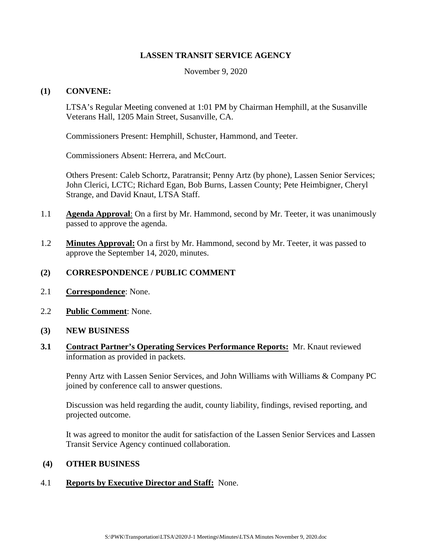### **LASSEN TRANSIT SERVICE AGENCY**

November 9, 2020

### **(1) CONVENE:**

LTSA's Regular Meeting convened at 1:01 PM by Chairman Hemphill, at the Susanville Veterans Hall, 1205 Main Street, Susanville, CA.

Commissioners Present: Hemphill, Schuster, Hammond, and Teeter.

Commissioners Absent: Herrera, and McCourt.

Others Present: Caleb Schortz, Paratransit; Penny Artz (by phone), Lassen Senior Services; John Clerici, LCTC; Richard Egan, Bob Burns, Lassen County; Pete Heimbigner, Cheryl Strange, and David Knaut, LTSA Staff.

- 1.1 **Agenda Approval**: On a first by Mr. Hammond, second by Mr. Teeter, it was unanimously passed to approve the agenda.
- 1.2 **Minutes Approval:** On a first by Mr. Hammond, second by Mr. Teeter, it was passed to approve the September 14, 2020, minutes.

# **(2) CORRESPONDENCE / PUBLIC COMMENT**

- 2.1 **Correspondence**: None.
- 2.2 **Public Comment**: None.
- **(3) NEW BUSINESS**
- **3.1 Contract Partner's Operating Services Performance Reports:** Mr. Knaut reviewed information as provided in packets.

Penny Artz with Lassen Senior Services, and John Williams with Williams & Company PC joined by conference call to answer questions.

Discussion was held regarding the audit, county liability, findings, revised reporting, and projected outcome.

It was agreed to monitor the audit for satisfaction of the Lassen Senior Services and Lassen Transit Service Agency continued collaboration.

# **(4) OTHER BUSINESS**

# 4.1 **Reports by Executive Director and Staff:** None.